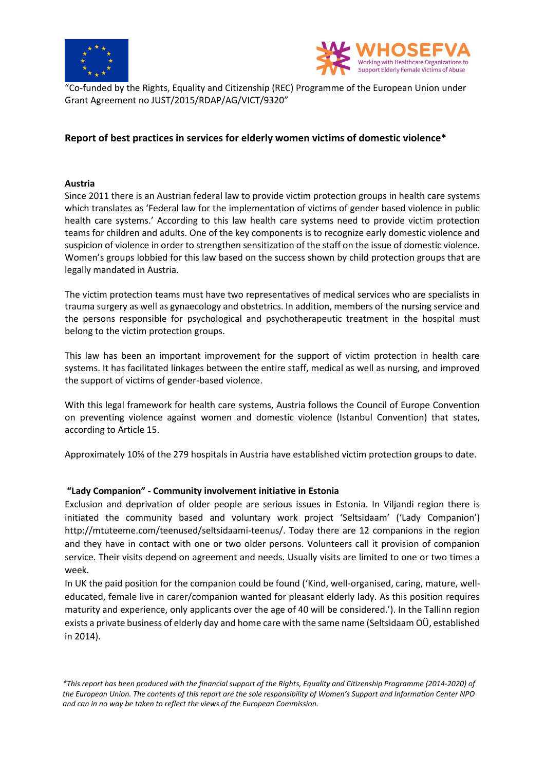



"Co-funded by the Rights, Equality and Citizenship (REC) Programme of the European Union under Grant Agreement no JUST/2015/RDAP/AG/VICT/9320"

# **Report of best practices in services for elderly women victims of domestic violence\***

#### **Austria**

Since 2011 there is an Austrian federal law to provide victim protection groups in health care systems which translates as 'Federal law for the implementation of victims of gender based violence in public health care systems.' According to this law health care systems need to provide victim protection teams for children and adults. One of the key components is to recognize early domestic violence and suspicion of violence in order to strengthen sensitization of the staff on the issue of domestic violence. Women's groups lobbied for this law based on the success shown by child protection groups that are legally mandated in Austria.

The victim protection teams must have two representatives of medical services who are specialists in trauma surgery as well as gynaecology and obstetrics. In addition, members of the nursing service and the persons responsible for psychological and psychotherapeutic treatment in the hospital must belong to the victim protection groups.

This law has been an important improvement for the support of victim protection in health care systems. It has facilitated linkages between the entire staff, medical as well as nursing, and improved the support of victims of gender-based violence.

With this legal framework for health care systems, Austria follows the Council of Europe Convention on preventing violence against women and domestic violence (Istanbul Convention) that states, according to Article 15.

Approximately 10% of the 279 hospitals in Austria have established victim protection groups to date.

### **"Lady Companion" - Community involvement initiative in Estonia**

Exclusion and deprivation of older people are serious issues in Estonia. In Viljandi region there is initiated the community based and voluntary work project 'Seltsidaam' ('Lady Companion') http://mtuteeme.com/teenused/seltsidaami-teenus/. Today there are 12 companions in the region and they have in contact with one or two older persons. Volunteers call it provision of companion service. Their visits depend on agreement and needs. Usually visits are limited to one or two times a week.

In UK the paid position for the companion could be found ('Kind, well-organised, caring, mature, welleducated, female live in carer/companion wanted for pleasant elderly lady. As this position requires maturity and experience, only applicants over the age of 40 will be considered.'). In the Tallinn region exists a private business of elderly day and home care with the same name (Seltsidaam OÜ, established in 2014).

*<sup>\*</sup>This report has been produced with the financial support of the Rights, Equality and Citizenship Programme (2014-2020) of the European Union. The contents of this report are the sole responsibility of Women's Support and Information Center NPO and can in no way be taken to reflect the views of the European Commission.*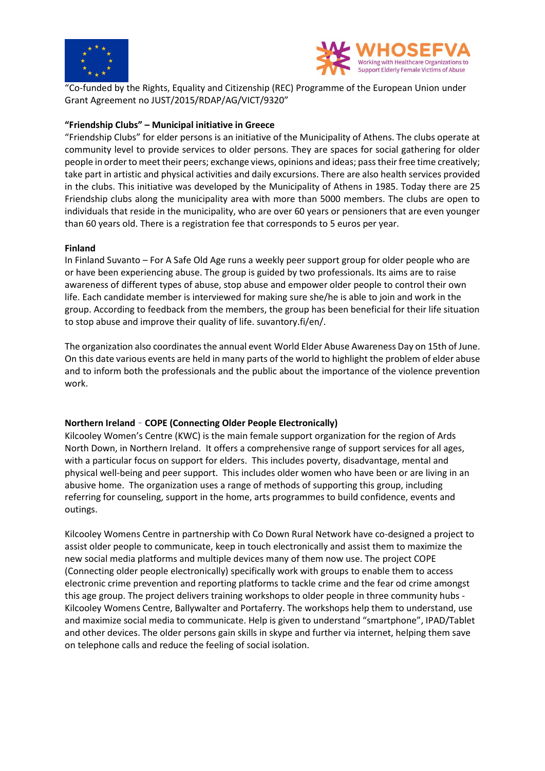



"Co-funded by the Rights, Equality and Citizenship (REC) Programme of the European Union under Grant Agreement no JUST/2015/RDAP/AG/VICT/9320"

## **"Friendship Clubs" – Municipal initiative in Greece**

"Friendship Clubs" for elder persons is an initiative of the Municipality of Athens. The clubs operate at community level to provide services to older persons. They are spaces for social gathering for older people in order to meet their peers; exchange views, opinions and ideas; pass their free time creatively; take part in artistic and physical activities and daily excursions. There are also health services provided in the clubs. This initiative was developed by the Municipality of Athens in 1985. Today there are 25 Friendship clubs along the municipality area with more than 5000 members. The clubs are open to individuals that reside in the municipality, who are over 60 years or pensioners that are even younger than 60 years old. There is a registration fee that corresponds to 5 euros per year.

### **Finland**

In Finland Suvanto – For A Safe Old Age runs a weekly peer support group for older people who are or have been experiencing abuse. The group is guided by two professionals. Its aims are to raise awareness of different types of abuse, stop abuse and empower older people to control their own life. Each candidate member is interviewed for making sure she/he is able to join and work in the group. According to feedback from the members, the group has been beneficial for their life situation to stop abuse and improve their quality of life. suvantory.fi/en/.

The organization also coordinates the annual event World Elder Abuse Awareness Day on 15th of June. On this date various events are held in many parts of the world to highlight the problem of elder abuse and to inform both the professionals and the public about the importance of the violence prevention work.

### **Northern Ireland** - **COPE (Connecting Older People Electronically)**

Kilcooley Women's Centre (KWC) is the main female support organization for the region of Ards North Down, in Northern Ireland. It offers a comprehensive range of support services for all ages, with a particular focus on support for elders. This includes poverty, disadvantage, mental and physical well-being and peer support. This includes older women who have been or are living in an abusive home. The organization uses a range of methods of supporting this group, including referring for counseling, support in the home, arts programmes to build confidence, events and outings.

Kilcooley Womens Centre in partnership with Co Down Rural Network have co-designed a project to assist older people to communicate, keep in touch electronically and assist them to maximize the new social media platforms and multiple devices many of them now use. The project COPE (Connecting older people electronically) specifically work with groups to enable them to access electronic crime prevention and reporting platforms to tackle crime and the fear od crime amongst this age group. The project delivers training workshops to older people in three community hubs - Kilcooley Womens Centre, Ballywalter and Portaferry. The workshops help them to understand, use and maximize social media to communicate. Help is given to understand "smartphone", IPAD/Tablet and other devices. The older persons gain skills in skype and further via internet, helping them save on telephone calls and reduce the feeling of social isolation.